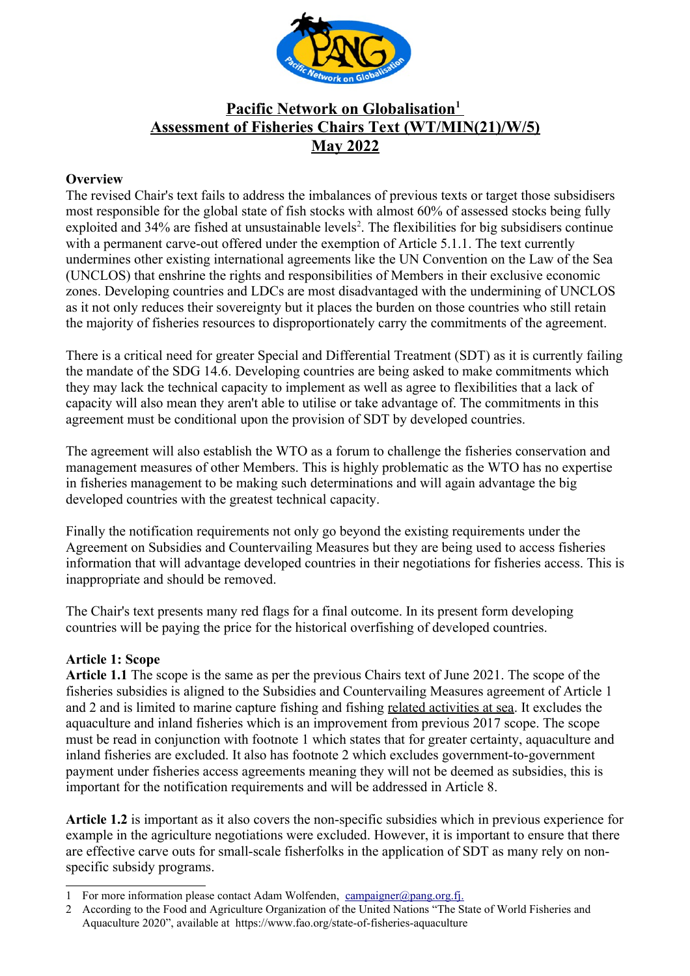

# **Pacific Network on Globalisation<sup>1</sup>  Assessment of Fisheries Chairs Text (WT/MIN(21)/W/5) May 2022**

#### **Overview**

The revised Chair's text fails to address the imbalances of previous texts or target those subsidisers most responsible for the global state of fish stocks with almost 60% of assessed stocks being fully exploited and 34% are fished at unsustainable levels<sup>[2](#page-0-1)</sup>. The flexibilities for big subsidisers continue with a permanent carve-out offered under the exemption of Article 5.1.1. The text currently undermines other existing international agreements like the UN Convention on the Law of the Sea (UNCLOS) that enshrine the rights and responsibilities of Members in their exclusive economic zones. Developing countries and LDCs are most disadvantaged with the undermining of UNCLOS as it not only reduces their sovereignty but it places the burden on those countries who still retain the majority of fisheries resources to disproportionately carry the commitments of the agreement.

There is a critical need for greater Special and Differential Treatment (SDT) as it is currently failing the mandate of the SDG 14.6. Developing countries are being asked to make commitments which they may lack the technical capacity to implement as well as agree to flexibilities that a lack of capacity will also mean they aren't able to utilise or take advantage of. The commitments in this agreement must be conditional upon the provision of SDT by developed countries.

The agreement will also establish the WTO as a forum to challenge the fisheries conservation and management measures of other Members. This is highly problematic as the WTO has no expertise in fisheries management to be making such determinations and will again advantage the big developed countries with the greatest technical capacity.

Finally the notification requirements not only go beyond the existing requirements under the Agreement on Subsidies and Countervailing Measures but they are being used to access fisheries information that will advantage developed countries in their negotiations for fisheries access. This is inappropriate and should be removed.

The Chair's text presents many red flags for a final outcome. In its present form developing countries will be paying the price for the historical overfishing of developed countries.

#### **Article 1: Scope**

**Article 1.1** The scope is the same as per the previous Chairs text of June 2021. The scope of the fisheries subsidies is aligned to the Subsidies and Countervailing Measures agreement of Article 1 and 2 and is limited to marine capture fishing and fishing related activities at sea. It excludes the aquaculture and inland fisheries which is an improvement from previous 2017 scope. The scope must be read in conjunction with footnote 1 which states that for greater certainty, aquaculture and inland fisheries are excluded. It also has footnote 2 which excludes government-to-government payment under fisheries access agreements meaning they will not be deemed as subsidies, this is important for the notification requirements and will be addressed in Article 8.

**Article 1.2** is important as it also covers the non-specific subsidies which in previous experience for example in the agriculture negotiations were excluded. However, it is important to ensure that there are effective carve outs for small-scale fisherfolks in the application of SDT as many rely on nonspecific subsidy programs.

<span id="page-0-0"></span><sup>1</sup> For more information please contact Adam Wolfenden, [campaigner@pang.org.fj.](mailto:campaigner@pang.org.fj)

<span id="page-0-1"></span><sup>2</sup> According to the Food and Agriculture Organization of the United Nations "The State of World Fisheries and Aquaculture 2020", available at https://www.fao.org/state-of-fisheries-aquaculture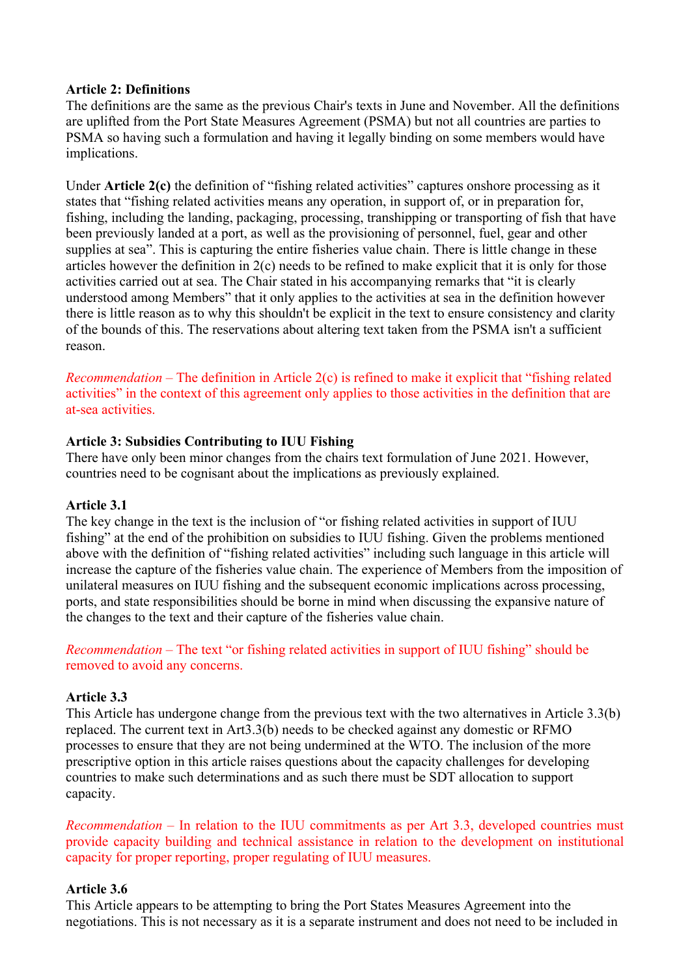#### **Article 2: Definitions**

The definitions are the same as the previous Chair's texts in June and November. All the definitions are uplifted from the Port State Measures Agreement (PSMA) but not all countries are parties to PSMA so having such a formulation and having it legally binding on some members would have implications.

Under **Article 2(c)** the definition of "fishing related activities" captures onshore processing as it states that "fishing related activities means any operation, in support of, or in preparation for, fishing, including the landing, packaging, processing, transhipping or transporting of fish that have been previously landed at a port, as well as the provisioning of personnel, fuel, gear and other supplies at sea". This is capturing the entire fisheries value chain. There is little change in these articles however the definition in 2(c) needs to be refined to make explicit that it is only for those activities carried out at sea. The Chair stated in his accompanying remarks that "it is clearly understood among Members" that it only applies to the activities at sea in the definition however there is little reason as to why this shouldn't be explicit in the text to ensure consistency and clarity of the bounds of this. The reservations about altering text taken from the PSMA isn't a sufficient reason.

*Recommendation* – The definition in Article 2(c) is refined to make it explicit that "fishing related activities" in the context of this agreement only applies to those activities in the definition that are at-sea activities.

#### **Article 3: Subsidies Contributing to IUU Fishing**

There have only been minor changes from the chairs text formulation of June 2021. However, countries need to be cognisant about the implications as previously explained.

#### **Article 3.1**

The key change in the text is the inclusion of "or fishing related activities in support of IUU fishing" at the end of the prohibition on subsidies to IUU fishing. Given the problems mentioned above with the definition of "fishing related activities" including such language in this article will increase the capture of the fisheries value chain. The experience of Members from the imposition of unilateral measures on IUU fishing and the subsequent economic implications across processing, ports, and state responsibilities should be borne in mind when discussing the expansive nature of the changes to the text and their capture of the fisheries value chain.

*Recommendation* – The text "or fishing related activities in support of IUU fishing" should be removed to avoid any concerns.

#### **Article 3.3**

This Article has undergone change from the previous text with the two alternatives in Article 3.3(b) replaced. The current text in Art3.3(b) needs to be checked against any domestic or RFMO processes to ensure that they are not being undermined at the WTO. The inclusion of the more prescriptive option in this article raises questions about the capacity challenges for developing countries to make such determinations and as such there must be SDT allocation to support capacity.

*Recommendation* – In relation to the IUU commitments as per Art 3.3, developed countries must provide capacity building and technical assistance in relation to the development on institutional capacity for proper reporting, proper regulating of IUU measures.

#### **Article 3.6**

This Article appears to be attempting to bring the Port States Measures Agreement into the negotiations. This is not necessary as it is a separate instrument and does not need to be included in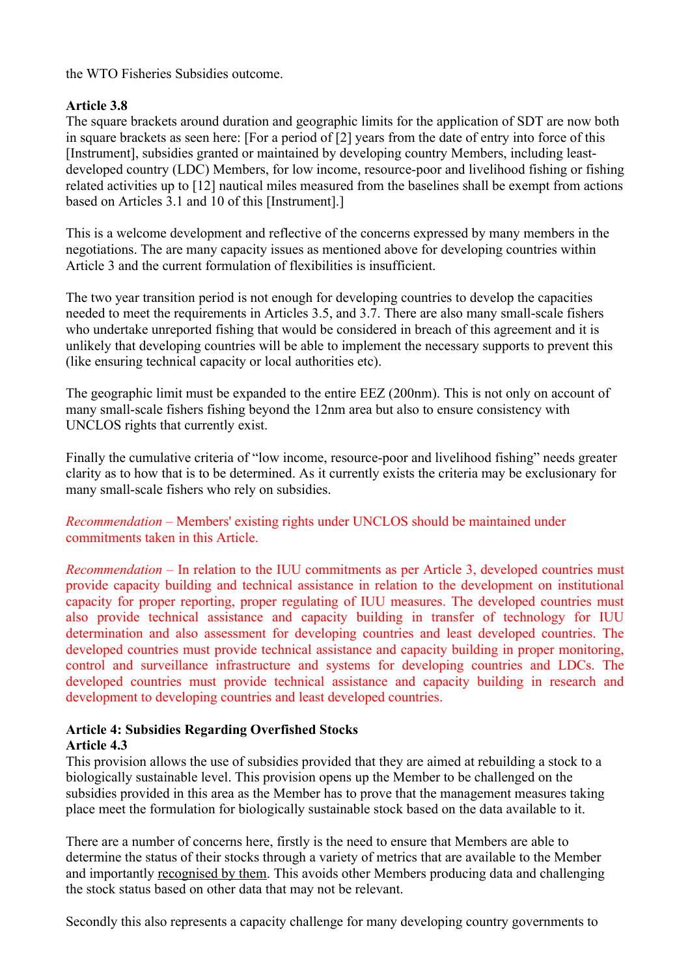the WTO Fisheries Subsidies outcome.

#### **Article 3.8**

The square brackets around duration and geographic limits for the application of SDT are now both in square brackets as seen here: [For a period of [2] years from the date of entry into force of this [Instrument], subsidies granted or maintained by developing country Members, including leastdeveloped country (LDC) Members, for low income, resource-poor and livelihood fishing or fishing related activities up to [12] nautical miles measured from the baselines shall be exempt from actions based on Articles 3.1 and 10 of this [Instrument].]

This is a welcome development and reflective of the concerns expressed by many members in the negotiations. The are many capacity issues as mentioned above for developing countries within Article 3 and the current formulation of flexibilities is insufficient.

The two year transition period is not enough for developing countries to develop the capacities needed to meet the requirements in Articles 3.5, and 3.7. There are also many small-scale fishers who undertake unreported fishing that would be considered in breach of this agreement and it is unlikely that developing countries will be able to implement the necessary supports to prevent this (like ensuring technical capacity or local authorities etc).

The geographic limit must be expanded to the entire EEZ (200nm). This is not only on account of many small-scale fishers fishing beyond the 12nm area but also to ensure consistency with UNCLOS rights that currently exist.

Finally the cumulative criteria of "low income, resource-poor and livelihood fishing" needs greater clarity as to how that is to be determined. As it currently exists the criteria may be exclusionary for many small-scale fishers who rely on subsidies.

*Recommendation* – Members' existing rights under UNCLOS should be maintained under commitments taken in this Article.

*Recommendation* – In relation to the IUU commitments as per Article 3, developed countries must provide capacity building and technical assistance in relation to the development on institutional capacity for proper reporting, proper regulating of IUU measures. The developed countries must also provide technical assistance and capacity building in transfer of technology for IUU determination and also assessment for developing countries and least developed countries. The developed countries must provide technical assistance and capacity building in proper monitoring, control and surveillance infrastructure and systems for developing countries and LDCs. The developed countries must provide technical assistance and capacity building in research and development to developing countries and least developed countries.

# **Article 4: Subsidies Regarding Overfished Stocks**

**Article 4.3**

This provision allows the use of subsidies provided that they are aimed at rebuilding a stock to a biologically sustainable level. This provision opens up the Member to be challenged on the subsidies provided in this area as the Member has to prove that the management measures taking place meet the formulation for biologically sustainable stock based on the data available to it.

There are a number of concerns here, firstly is the need to ensure that Members are able to determine the status of their stocks through a variety of metrics that are available to the Member and importantly recognised by them. This avoids other Members producing data and challenging the stock status based on other data that may not be relevant.

Secondly this also represents a capacity challenge for many developing country governments to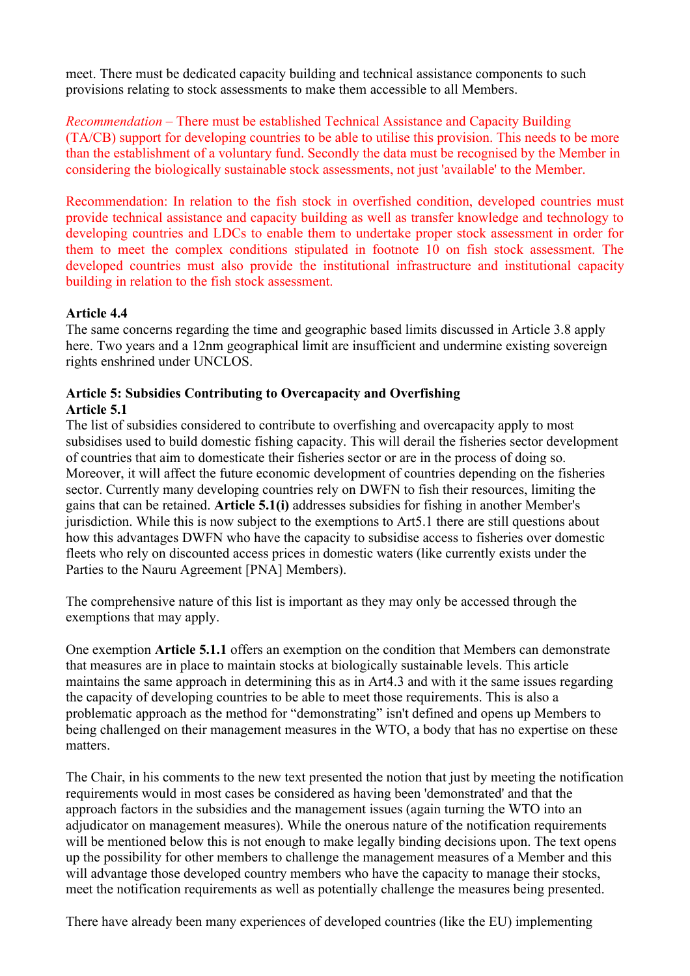meet. There must be dedicated capacity building and technical assistance components to such provisions relating to stock assessments to make them accessible to all Members.

*Recommendation* – There must be established Technical Assistance and Capacity Building (TA/CB) support for developing countries to be able to utilise this provision. This needs to be more than the establishment of a voluntary fund. Secondly the data must be recognised by the Member in considering the biologically sustainable stock assessments, not just 'available' to the Member.

Recommendation: In relation to the fish stock in overfished condition, developed countries must provide technical assistance and capacity building as well as transfer knowledge and technology to developing countries and LDCs to enable them to undertake proper stock assessment in order for them to meet the complex conditions stipulated in footnote 10 on fish stock assessment. The developed countries must also provide the institutional infrastructure and institutional capacity building in relation to the fish stock assessment.

#### **Article 4.4**

The same concerns regarding the time and geographic based limits discussed in Article 3.8 apply here. Two years and a 12nm geographical limit are insufficient and undermine existing sovereign rights enshrined under UNCLOS.

#### **Article 5: Subsidies Contributing to Overcapacity and Overfishing Article 5.1**

The list of subsidies considered to contribute to overfishing and overcapacity apply to most subsidises used to build domestic fishing capacity. This will derail the fisheries sector development of countries that aim to domesticate their fisheries sector or are in the process of doing so. Moreover, it will affect the future economic development of countries depending on the fisheries sector. Currently many developing countries rely on DWFN to fish their resources, limiting the gains that can be retained. **Article 5.1(i)** addresses subsidies for fishing in another Member's jurisdiction. While this is now subject to the exemptions to Art5.1 there are still questions about how this advantages DWFN who have the capacity to subsidise access to fisheries over domestic fleets who rely on discounted access prices in domestic waters (like currently exists under the Parties to the Nauru Agreement [PNA] Members).

The comprehensive nature of this list is important as they may only be accessed through the exemptions that may apply.

One exemption **Article 5.1.1** offers an exemption on the condition that Members can demonstrate that measures are in place to maintain stocks at biologically sustainable levels. This article maintains the same approach in determining this as in Art4.3 and with it the same issues regarding the capacity of developing countries to be able to meet those requirements. This is also a problematic approach as the method for "demonstrating" isn't defined and opens up Members to being challenged on their management measures in the WTO, a body that has no expertise on these matters.

The Chair, in his comments to the new text presented the notion that just by meeting the notification requirements would in most cases be considered as having been 'demonstrated' and that the approach factors in the subsidies and the management issues (again turning the WTO into an adjudicator on management measures). While the onerous nature of the notification requirements will be mentioned below this is not enough to make legally binding decisions upon. The text opens up the possibility for other members to challenge the management measures of a Member and this will advantage those developed country members who have the capacity to manage their stocks, meet the notification requirements as well as potentially challenge the measures being presented.

There have already been many experiences of developed countries (like the EU) implementing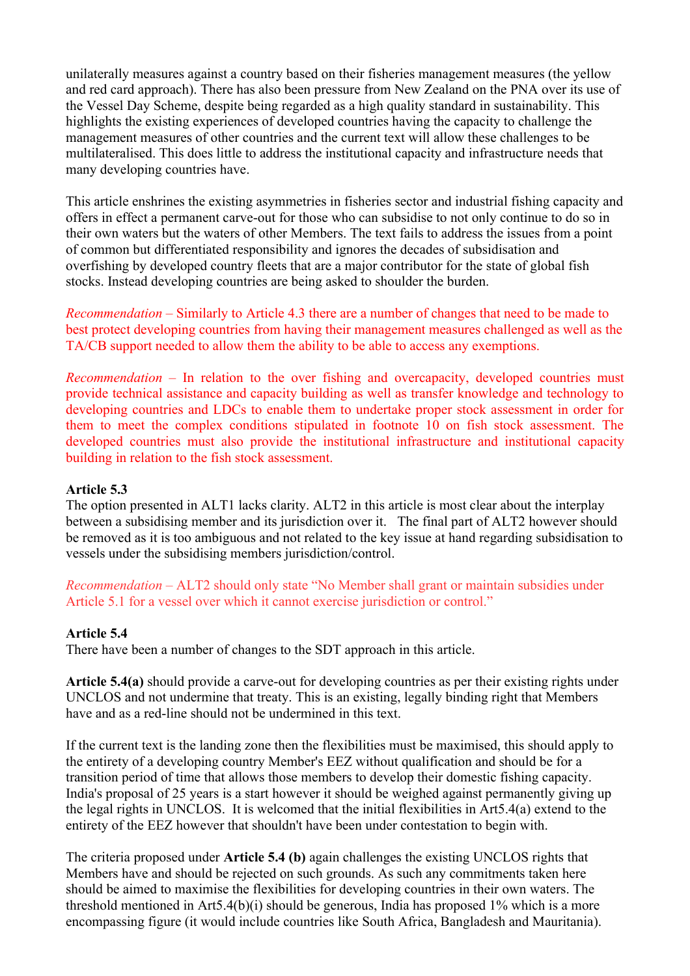unilaterally measures against a country based on their fisheries management measures (the yellow and red card approach). There has also been pressure from New Zealand on the PNA over its use of the Vessel Day Scheme, despite being regarded as a high quality standard in sustainability. This highlights the existing experiences of developed countries having the capacity to challenge the management measures of other countries and the current text will allow these challenges to be multilateralised. This does little to address the institutional capacity and infrastructure needs that many developing countries have.

This article enshrines the existing asymmetries in fisheries sector and industrial fishing capacity and offers in effect a permanent carve-out for those who can subsidise to not only continue to do so in their own waters but the waters of other Members. The text fails to address the issues from a point of common but differentiated responsibility and ignores the decades of subsidisation and overfishing by developed country fleets that are a major contributor for the state of global fish stocks. Instead developing countries are being asked to shoulder the burden.

*Recommendation* – Similarly to Article 4.3 there are a number of changes that need to be made to best protect developing countries from having their management measures challenged as well as the TA/CB support needed to allow them the ability to be able to access any exemptions.

*Recommendation* – In relation to the over fishing and overcapacity, developed countries must provide technical assistance and capacity building as well as transfer knowledge and technology to developing countries and LDCs to enable them to undertake proper stock assessment in order for them to meet the complex conditions stipulated in footnote 10 on fish stock assessment. The developed countries must also provide the institutional infrastructure and institutional capacity building in relation to the fish stock assessment.

#### **Article 5.3**

The option presented in ALT1 lacks clarity. ALT2 in this article is most clear about the interplay between a subsidising member and its jurisdiction over it. The final part of ALT2 however should be removed as it is too ambiguous and not related to the key issue at hand regarding subsidisation to vessels under the subsidising members jurisdiction/control.

*Recommendation* – ALT2 should only state "No Member shall grant or maintain subsidies under Article 5.1 for a vessel over which it cannot exercise jurisdiction or control."

#### **Article 5.4**

There have been a number of changes to the SDT approach in this article.

**Article 5.4(a)** should provide a carve-out for developing countries as per their existing rights under UNCLOS and not undermine that treaty. This is an existing, legally binding right that Members have and as a red-line should not be undermined in this text.

If the current text is the landing zone then the flexibilities must be maximised, this should apply to the entirety of a developing country Member's EEZ without qualification and should be for a transition period of time that allows those members to develop their domestic fishing capacity. India's proposal of 25 years is a start however it should be weighed against permanently giving up the legal rights in UNCLOS. It is welcomed that the initial flexibilities in Art5.4(a) extend to the entirety of the EEZ however that shouldn't have been under contestation to begin with.

The criteria proposed under **Article 5.4 (b)** again challenges the existing UNCLOS rights that Members have and should be rejected on such grounds. As such any commitments taken here should be aimed to maximise the flexibilities for developing countries in their own waters. The threshold mentioned in Art5.4(b)(i) should be generous, India has proposed 1% which is a more encompassing figure (it would include countries like South Africa, Bangladesh and Mauritania).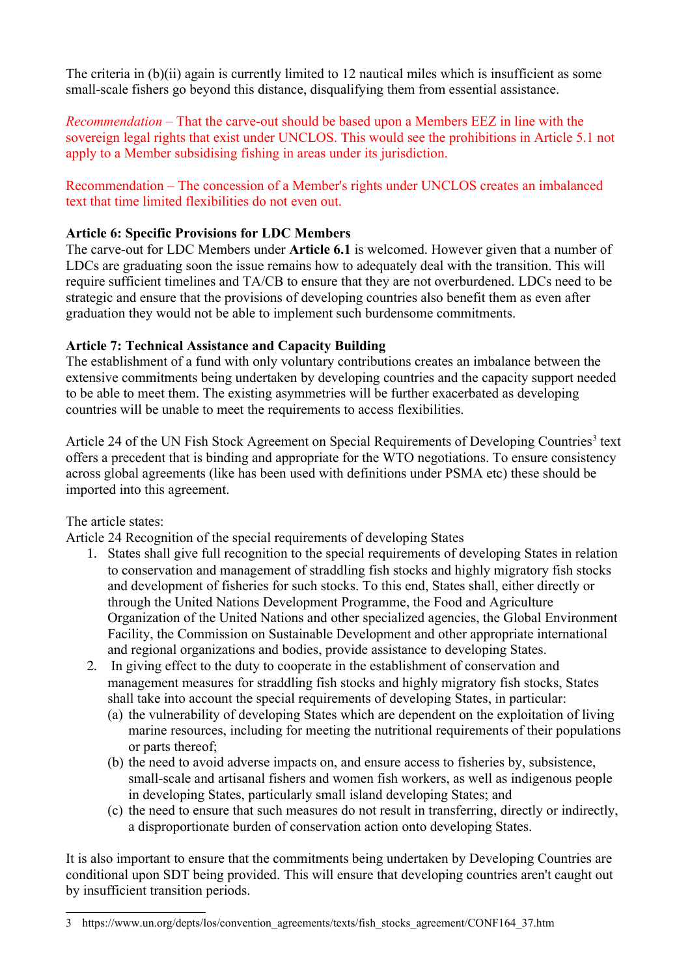The criteria in (b)(ii) again is currently limited to 12 nautical miles which is insufficient as some small-scale fishers go beyond this distance, disqualifying them from essential assistance.

*Recommendation* – That the carve-out should be based upon a Members EEZ in line with the sovereign legal rights that exist under UNCLOS. This would see the prohibitions in Article 5.1 not apply to a Member subsidising fishing in areas under its jurisdiction.

Recommendation – The concession of a Member's rights under UNCLOS creates an imbalanced text that time limited flexibilities do not even out.

#### **Article 6: Specific Provisions for LDC Members**

The carve-out for LDC Members under **Article 6.1** is welcomed. However given that a number of LDCs are graduating soon the issue remains how to adequately deal with the transition. This will require sufficient timelines and TA/CB to ensure that they are not overburdened. LDCs need to be strategic and ensure that the provisions of developing countries also benefit them as even after graduation they would not be able to implement such burdensome commitments.

## **Article 7: Technical Assistance and Capacity Building**

The establishment of a fund with only voluntary contributions creates an imbalance between the extensive commitments being undertaken by developing countries and the capacity support needed to be able to meet them. The existing asymmetries will be further exacerbated as developing countries will be unable to meet the requirements to access flexibilities.

Article 24 of the UN Fish Stock Agreement on Special Requirements of Developing Countries<sup>[3](#page-5-0)</sup> text offers a precedent that is binding and appropriate for the WTO negotiations. To ensure consistency across global agreements (like has been used with definitions under PSMA etc) these should be imported into this agreement.

## The article states:

Article 24 Recognition of the special requirements of developing States

- 1. States shall give full recognition to the special requirements of developing States in relation to conservation and management of straddling fish stocks and highly migratory fish stocks and development of fisheries for such stocks. To this end, States shall, either directly or through the United Nations Development Programme, the Food and Agriculture Organization of the United Nations and other specialized agencies, the Global Environment Facility, the Commission on Sustainable Development and other appropriate international and regional organizations and bodies, provide assistance to developing States.
- 2. In giving effect to the duty to cooperate in the establishment of conservation and management measures for straddling fish stocks and highly migratory fish stocks, States shall take into account the special requirements of developing States, in particular:
	- (a) the vulnerability of developing States which are dependent on the exploitation of living marine resources, including for meeting the nutritional requirements of their populations or parts thereof;
	- (b) the need to avoid adverse impacts on, and ensure access to fisheries by, subsistence, small-scale and artisanal fishers and women fish workers, as well as indigenous people in developing States, particularly small island developing States; and
	- (c) the need to ensure that such measures do not result in transferring, directly or indirectly, a disproportionate burden of conservation action onto developing States.

It is also important to ensure that the commitments being undertaken by Developing Countries are conditional upon SDT being provided. This will ensure that developing countries aren't caught out by insufficient transition periods.

<span id="page-5-0"></span><sup>3</sup> https://www.un.org/depts/los/convention\_agreements/texts/fish\_stocks\_agreement/CONF164\_37.htm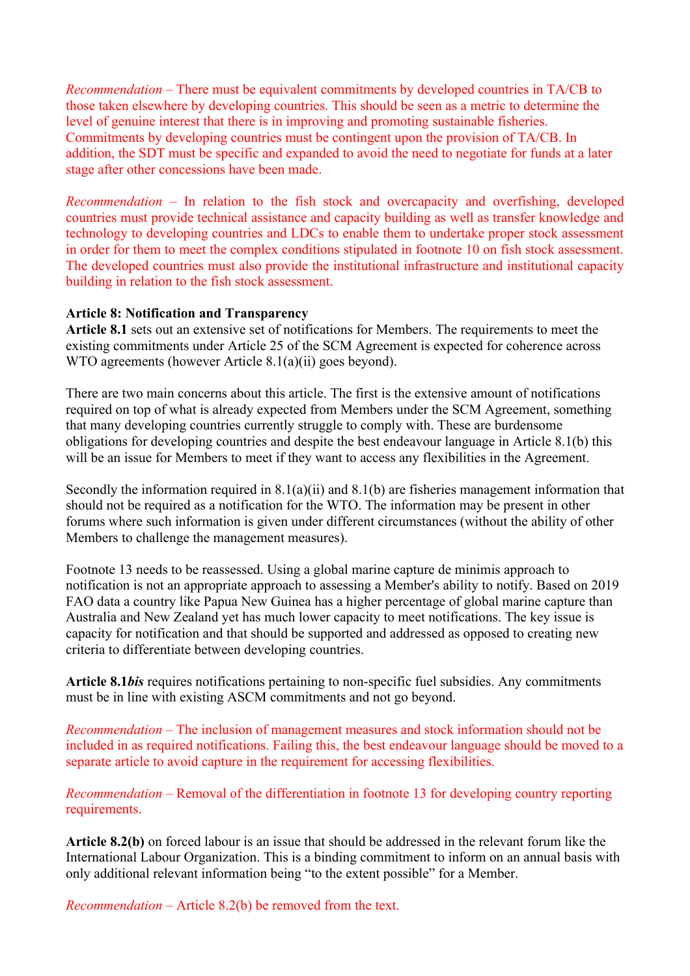*Recommendation* – There must be equivalent commitments by developed countries in TA/CB to those taken elsewhere by developing countries. This should be seen as a metric to determine the level of genuine interest that there is in improving and promoting sustainable fisheries. Commitments by developing countries must be contingent upon the provision of TA/CB. In addition, the SDT must be specific and expanded to avoid the need to negotiate for funds at a later stage after other concessions have been made.

*Recommendation* – In relation to the fish stock and overcapacity and overfishing, developed countries must provide technical assistance and capacity building as well as transfer knowledge and technology to developing countries and LDCs to enable them to undertake proper stock assessment in order for them to meet the complex conditions stipulated in footnote 10 on fish stock assessment. The developed countries must also provide the institutional infrastructure and institutional capacity building in relation to the fish stock assessment.

#### **Article 8: Notification and Transparency**

**Article 8.1** sets out an extensive set of notifications for Members. The requirements to meet the existing commitments under Article 25 of the SCM Agreement is expected for coherence across WTO agreements (however Article 8.1(a)(ii) goes beyond).

There are two main concerns about this article. The first is the extensive amount of notifications required on top of what is already expected from Members under the SCM Agreement, something that many developing countries currently struggle to comply with. These are burdensome obligations for developing countries and despite the best endeavour language in Article 8.1(b) this will be an issue for Members to meet if they want to access any flexibilities in the Agreement.

Secondly the information required in 8.1(a)(ii) and 8.1(b) are fisheries management information that should not be required as a notification for the WTO. The information may be present in other forums where such information is given under different circumstances (without the ability of other Members to challenge the management measures).

Footnote 13 needs to be reassessed. Using a global marine capture de minimis approach to notification is not an appropriate approach to assessing a Member's ability to notify. Based on 2019 FAO data a country like Papua New Guinea has a higher percentage of global marine capture than Australia and New Zealand yet has much lower capacity to meet notifications. The key issue is capacity for notification and that should be supported and addressed as opposed to creating new criteria to differentiate between developing countries.

**Article 8.1***bis* requires notifications pertaining to non-specific fuel subsidies. Any commitments must be in line with existing ASCM commitments and not go beyond.

*Recommendation* – The inclusion of management measures and stock information should not be included in as required notifications. Failing this, the best endeavour language should be moved to a separate article to avoid capture in the requirement for accessing flexibilities.

*Recommendation* – Removal of the differentiation in footnote 13 for developing country reporting requirements.

**Article 8.2(b)** on forced labour is an issue that should be addressed in the relevant forum like the International Labour Organization. This is a binding commitment to inform on an annual basis with only additional relevant information being "to the extent possible" for a Member.

*Recommendation* – Article 8.2(b) be removed from the text.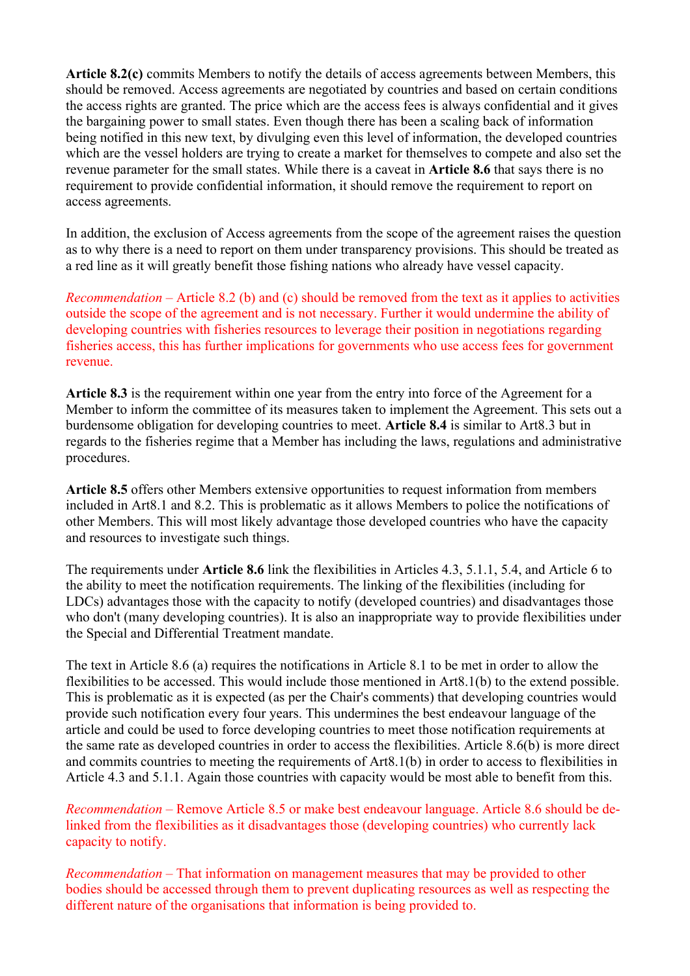**Article 8.2(c)** commits Members to notify the details of access agreements between Members, this should be removed. Access agreements are negotiated by countries and based on certain conditions the access rights are granted. The price which are the access fees is always confidential and it gives the bargaining power to small states. Even though there has been a scaling back of information being notified in this new text, by divulging even this level of information, the developed countries which are the vessel holders are trying to create a market for themselves to compete and also set the revenue parameter for the small states. While there is a caveat in **Article 8.6** that says there is no requirement to provide confidential information, it should remove the requirement to report on access agreements.

In addition, the exclusion of Access agreements from the scope of the agreement raises the question as to why there is a need to report on them under transparency provisions. This should be treated as a red line as it will greatly benefit those fishing nations who already have vessel capacity.

*Recommendation* – Article 8.2 (b) and (c) should be removed from the text as it applies to activities outside the scope of the agreement and is not necessary. Further it would undermine the ability of developing countries with fisheries resources to leverage their position in negotiations regarding fisheries access, this has further implications for governments who use access fees for government revenue.

**Article 8.3** is the requirement within one year from the entry into force of the Agreement for a Member to inform the committee of its measures taken to implement the Agreement. This sets out a burdensome obligation for developing countries to meet. **Article 8.4** is similar to Art8.3 but in regards to the fisheries regime that a Member has including the laws, regulations and administrative procedures.

**Article 8.5** offers other Members extensive opportunities to request information from members included in Art8.1 and 8.2. This is problematic as it allows Members to police the notifications of other Members. This will most likely advantage those developed countries who have the capacity and resources to investigate such things.

The requirements under **Article 8.6** link the flexibilities in Articles 4.3, 5.1.1, 5.4, and Article 6 to the ability to meet the notification requirements. The linking of the flexibilities (including for LDCs) advantages those with the capacity to notify (developed countries) and disadvantages those who don't (many developing countries). It is also an inappropriate way to provide flexibilities under the Special and Differential Treatment mandate.

The text in Article 8.6 (a) requires the notifications in Article 8.1 to be met in order to allow the flexibilities to be accessed. This would include those mentioned in Art8.1(b) to the extend possible. This is problematic as it is expected (as per the Chair's comments) that developing countries would provide such notification every four years. This undermines the best endeavour language of the article and could be used to force developing countries to meet those notification requirements at the same rate as developed countries in order to access the flexibilities. Article 8.6(b) is more direct and commits countries to meeting the requirements of Art8.1(b) in order to access to flexibilities in Article 4.3 and 5.1.1. Again those countries with capacity would be most able to benefit from this.

*Recommendation* – Remove Article 8.5 or make best endeavour language. Article 8.6 should be delinked from the flexibilities as it disadvantages those (developing countries) who currently lack capacity to notify.

*Recommendation* – That information on management measures that may be provided to other bodies should be accessed through them to prevent duplicating resources as well as respecting the different nature of the organisations that information is being provided to.